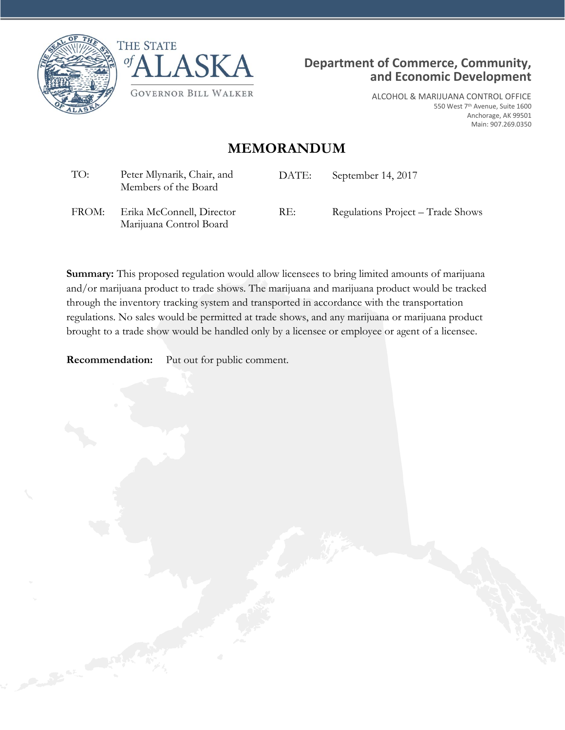





ALCOHOL & MARIJUANA CONTROL OFFICE 550 West 7th Avenue, Suite 1600 Anchorage, AK 99501 Main: 907.269.0350

## **MEMORANDUM**

| TO:   | Peter Mlynarik, Chair, and<br>Members of the Board | DATE: | September 14, 2017                |
|-------|----------------------------------------------------|-------|-----------------------------------|
| FROM: | Erika McConnell, Director                          | RE:   | Regulations Project – Trade Shows |

**Summary:** This proposed regulation would allow licensees to bring limited amounts of marijuana and/or marijuana product to trade shows. The marijuana and marijuana product would be tracked through the inventory tracking system and transported in accordance with the transportation regulations. No sales would be permitted at trade shows, and any marijuana or marijuana product brought to a trade show would be handled only by a licensee or employee or agent of a licensee.

**Recommendation:** Put out for public comment.

Marijuana Control Board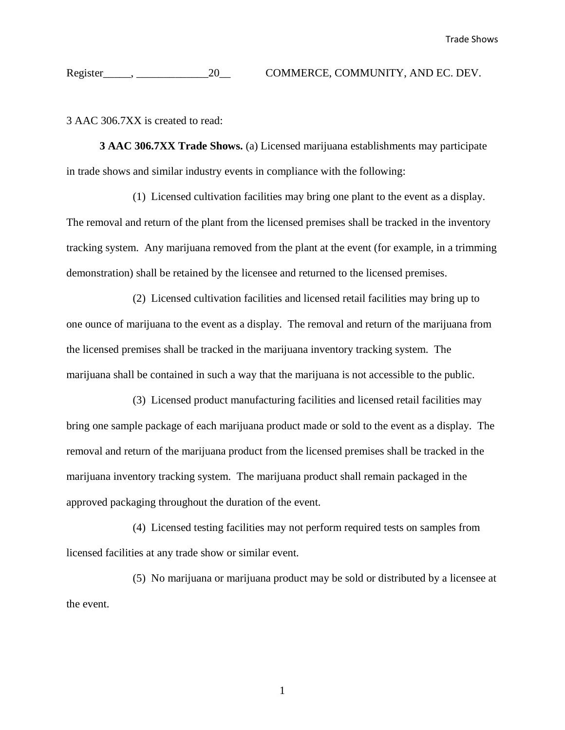## Register\_\_\_\_\_, \_\_\_\_\_\_\_\_\_\_\_\_\_20\_\_ COMMERCE, COMMUNITY, AND EC. DEV.

3 AAC 306.7XX is created to read:

**3 AAC 306.7XX Trade Shows.** (a) Licensed marijuana establishments may participate in trade shows and similar industry events in compliance with the following:

(1) Licensed cultivation facilities may bring one plant to the event as a display. The removal and return of the plant from the licensed premises shall be tracked in the inventory tracking system. Any marijuana removed from the plant at the event (for example, in a trimming demonstration) shall be retained by the licensee and returned to the licensed premises.

(2) Licensed cultivation facilities and licensed retail facilities may bring up to one ounce of marijuana to the event as a display. The removal and return of the marijuana from the licensed premises shall be tracked in the marijuana inventory tracking system. The marijuana shall be contained in such a way that the marijuana is not accessible to the public.

(3) Licensed product manufacturing facilities and licensed retail facilities may bring one sample package of each marijuana product made or sold to the event as a display. The removal and return of the marijuana product from the licensed premises shall be tracked in the marijuana inventory tracking system. The marijuana product shall remain packaged in the approved packaging throughout the duration of the event.

(4) Licensed testing facilities may not perform required tests on samples from licensed facilities at any trade show or similar event.

(5) No marijuana or marijuana product may be sold or distributed by a licensee at the event.

1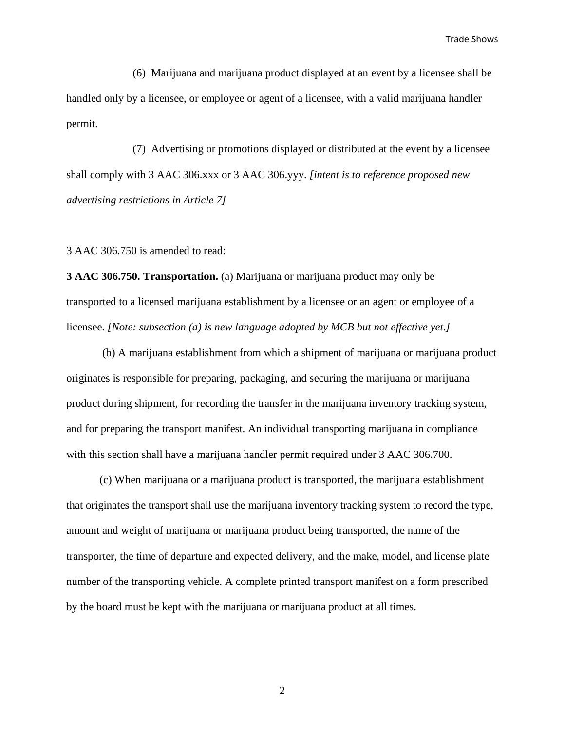Trade Shows

(6) Marijuana and marijuana product displayed at an event by a licensee shall be handled only by a licensee, or employee or agent of a licensee, with a valid marijuana handler permit.

(7) Advertising or promotions displayed or distributed at the event by a licensee shall comply with 3 AAC 306.xxx or 3 AAC 306.yyy. *[intent is to reference proposed new advertising restrictions in Article 7]*

3 AAC 306.750 is amended to read:

**3 AAC 306.750. Transportation.** (a) Marijuana or marijuana product may only be transported to a licensed marijuana establishment by a licensee or an agent or employee of a licensee. *[Note: subsection (a) is new language adopted by MCB but not effective yet.]*

(b) A marijuana establishment from which a shipment of marijuana or marijuana product originates is responsible for preparing, packaging, and securing the marijuana or marijuana product during shipment, for recording the transfer in the marijuana inventory tracking system, and for preparing the transport manifest. An individual transporting marijuana in compliance with this section shall have a marijuana handler permit required under 3 AAC 306.700.

(c) When marijuana or a marijuana product is transported, the marijuana establishment that originates the transport shall use the marijuana inventory tracking system to record the type, amount and weight of marijuana or marijuana product being transported, the name of the transporter, the time of departure and expected delivery, and the make, model, and license plate number of the transporting vehicle. A complete printed transport manifest on a form prescribed by the board must be kept with the marijuana or marijuana product at all times.

2